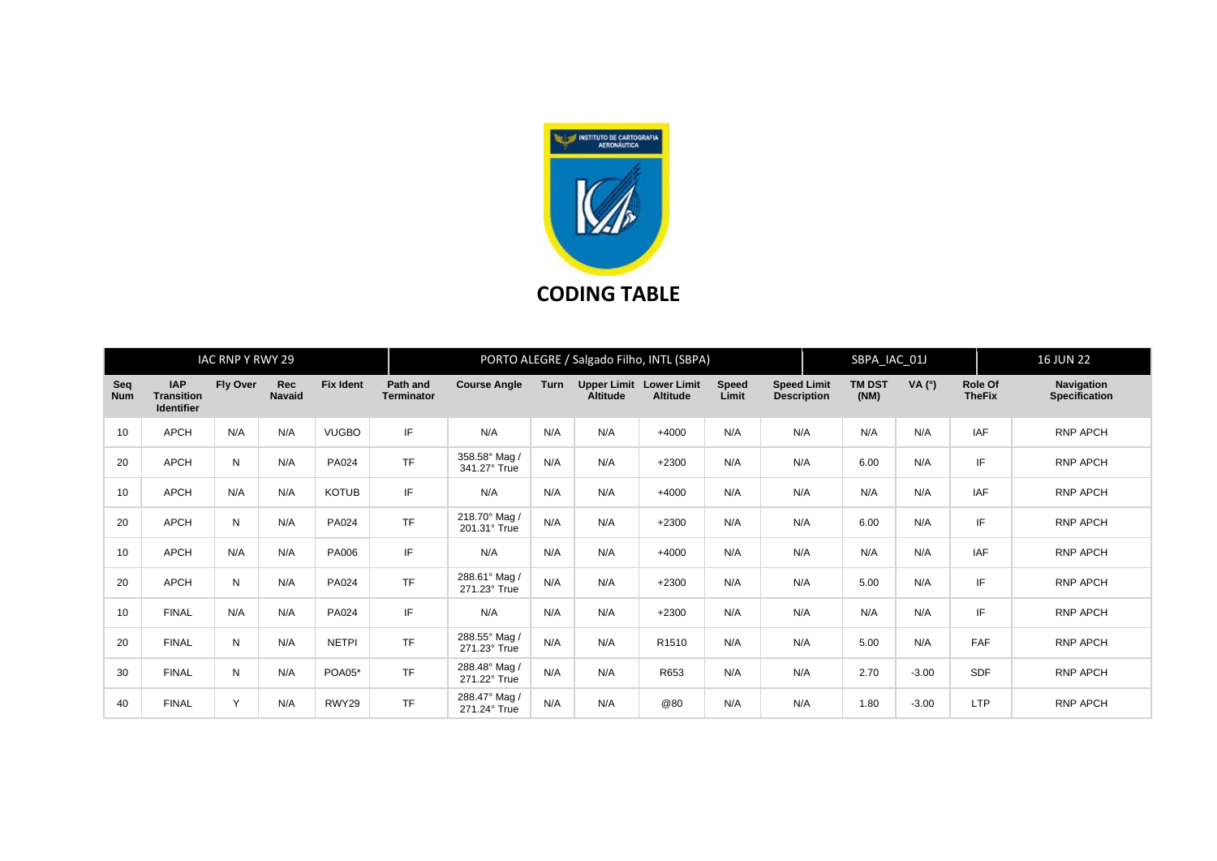

|                   |                                                      | IAC RNP Y RWY 29 |                      |                  |                               | PORTO ALEGRE / Salgado Filho, INTL (SBPA) |             |                                       |                                       |                       |                                          | SBPA_IAC_01J          |               |                          | <b>16 JUN 22</b>                   |  |
|-------------------|------------------------------------------------------|------------------|----------------------|------------------|-------------------------------|-------------------------------------------|-------------|---------------------------------------|---------------------------------------|-----------------------|------------------------------------------|-----------------------|---------------|--------------------------|------------------------------------|--|
| Sea<br><b>Num</b> | <b>IAP</b><br><b>Transition</b><br><b>Identifier</b> | <b>Fly Over</b>  | Rec<br><b>Navaid</b> | <b>Fix Ident</b> | Path and<br><b>Terminator</b> | <b>Course Angle</b>                       | <b>Turn</b> | <b>Upper Limit</b><br><b>Altitude</b> | <b>Lower Limit</b><br><b>Altitude</b> | <b>Speed</b><br>Limit | <b>Speed Limit</b><br><b>Description</b> | <b>TM DST</b><br>(NM) | VA $(^\circ)$ | Role Of<br><b>TheFix</b> | Navigation<br><b>Specification</b> |  |
| 10                | <b>APCH</b>                                          | N/A              | N/A                  | <b>VUGBO</b>     | IF                            | N/A                                       | N/A         | N/A                                   | $+4000$                               | N/A                   | N/A                                      | N/A                   | N/A           | <b>IAF</b>               | RNP APCH                           |  |
| 20                | <b>APCH</b>                                          | N                | N/A                  | PA024            | <b>TF</b>                     | 358.58° Mag /<br>341.27° True             | N/A         | N/A                                   | $+2300$                               | N/A                   | N/A                                      | 6.00                  | N/A           | IF                       | <b>RNP APCH</b>                    |  |
| 10                | <b>APCH</b>                                          | N/A              | N/A                  | <b>KOTUB</b>     | IF                            | N/A                                       | N/A         | N/A                                   | $+4000$                               | N/A                   | N/A                                      | N/A                   | N/A           | <b>IAF</b>               | <b>RNP APCH</b>                    |  |
| 20                | <b>APCH</b>                                          | N                | N/A                  | PA024            | <b>TF</b>                     | 218.70° Mag /<br>201.31° True             | N/A         | N/A                                   | $+2300$                               | N/A                   | N/A                                      | 6.00                  | N/A           | IF                       | <b>RNP APCH</b>                    |  |
| 10                | <b>APCH</b>                                          | N/A              | N/A                  | PA006            | IF                            | N/A                                       | N/A         | N/A                                   | $+4000$                               | N/A                   | N/A                                      | N/A                   | N/A           | <b>IAF</b>               | RNP APCH                           |  |
| 20                | <b>APCH</b>                                          | N                | N/A                  | PA024            | <b>TF</b>                     | 288.61° Mag /<br>271.23° True             | N/A         | N/A                                   | $+2300$                               | N/A                   | N/A                                      | 5.00                  | N/A           | IF                       | RNP APCH                           |  |
| 10                | <b>FINAL</b>                                         | N/A              | N/A                  | PA024            | IF                            | N/A                                       | N/A         | N/A                                   | $+2300$                               | N/A                   | N/A                                      | N/A                   | N/A           | IF                       | RNP APCH                           |  |
| 20                | <b>FINAL</b>                                         | N                | N/A                  | <b>NETPI</b>     | <b>TF</b>                     | 288.55° Mag /<br>271.23° True             | N/A         | N/A                                   | R <sub>1510</sub>                     | N/A                   | N/A                                      | 5.00                  | N/A           | <b>FAF</b>               | RNP APCH                           |  |
| 30                | <b>FINAL</b>                                         | N                | N/A                  | <b>POA05*</b>    | <b>TF</b>                     | 288.48° Mag /<br>271.22° True             | N/A         | N/A                                   | R653                                  | N/A                   | N/A                                      | 2.70                  | $-3.00$       | <b>SDF</b>               | RNP APCH                           |  |
| 40                | <b>FINAL</b>                                         | Y                | N/A                  | RWY29            | <b>TF</b>                     | 288.47° Mag /<br>271.24° True             | N/A         | N/A                                   | @80                                   | N/A                   | N/A                                      | 1.80                  | $-3.00$       | LTP                      | RNP APCH                           |  |